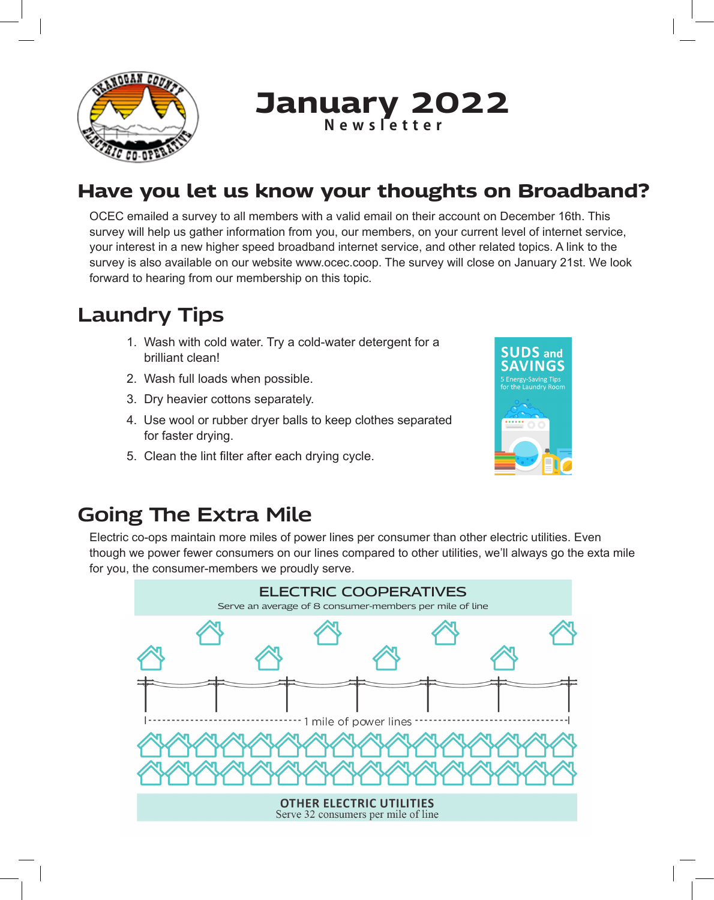

# **January 2022 Newsletter**

# **Have you let us know your thoughts on Broadband?**

OCEC emailed a survey to all members with a valid email on their account on December 16th. This survey will help us gather information from you, our members, on your current level of internet service, your interest in a new higher speed broadband internet service, and other related topics. A link to the survey is also available on our website www.ocec.coop. The survey will close on January 21st. We look forward to hearing from our membership on this topic.

# **Laundry Tips**

- 1. Wash with cold water. Try a cold-water detergent for a brilliant clean!
- 2. Wash full loads when possible.
- 3. Dry heavier cottons separately.
- 4. Use wool or rubber dryer balls to keep clothes separated for faster drying.
- 5. Clean the lint filter after each drying cycle.



#### **Going The Extra Mile**

Electric co-ops maintain more miles of power lines per consumer than other electric utilities. Even though we power fewer consumers on our lines compared to other utilities, we'll always go the exta mile for you, the consumer-members we proudly serve.